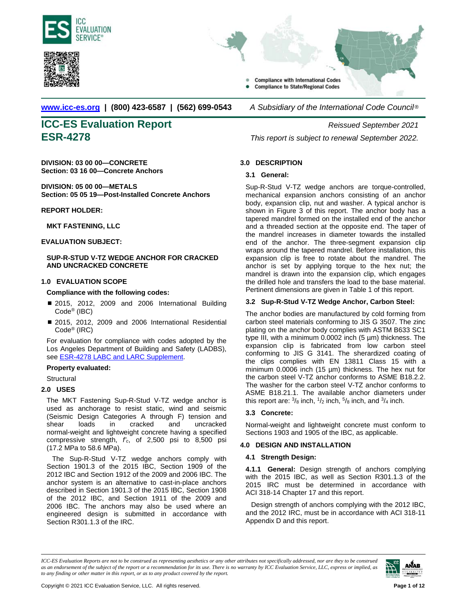<span id="page-0-0"></span>





**[www.icc-es.org](http://www.icc-es.org/) | (800) 423-6587 | (562) 699-0543** *A Subsidiary of the International Code Council* ®

# **ICC-ES Evaluation Report** *Reissued September 2021*

**DIVISION: 03 00 00—CONCRETE Section: 03 16 00—Concrete Anchors**

**DIVISION: 05 00 00—METALS Section: 05 05 19—Post-Installed Concrete Anchors**

### **REPORT HOLDER:**

**MKT FASTENING, LLC**

**EVALUATION SUBJECT:** 

### **SUP-R-STUD V-TZ WEDGE ANCHOR FOR CRACKED AND UNCRACKED CONCRETE**

### **1.0 EVALUATION SCOPE**

### **Compliance with the following codes:**

- 2015, 2012, 2009 and 2006 International Building Code® (IBC)
- 2015, 2012, 2009 and 2006 International Residential Code® (IRC)

For evaluation for compliance with codes adopted by the Los Angeles Department of Building and Safety (LADBS), see ESR-4278 [LABC and LARC Supplement.](#page-9-0) 

### **Property evaluated:**

**Structural** 

### **2.0 USES**

The MKT Fastening Sup-R-Stud V-TZ wedge anchor is used as anchorage to resist static, wind and seismic (Seismic Design Categories A through F) tension and shear loads in cracked and uncracked normal-weight and lightweight concrete having a specified compressive strength, *f'c*, of 2,500 psi to 8,500 psi (17.2 MPa to 58.6 MPa).

The Sup-R-Stud V-TZ wedge anchors comply with Section 1901.3 of the 2015 IBC, Section 1909 of the 2012 IBC and Section 1912 of the 2009 and 2006 IBC. The anchor system is an alternative to cast-in-place anchors described in Section 1901.3 of the 2015 IBC, Section 1908 of the 2012 IBC, and Section 1911 of the 2009 and 2006 IBC. The anchors may also be used where an engineered design is submitted in accordance with Section R301.1.3 of the IRC.

**ESR-4278** *This report is subject to renewal September 2022.*

### **3.0 DESCRIPTION**

### **3.1 General:**

Sup-R-Stud V-TZ wedge anchors are torque-controlled, mechanical expansion anchors consisting of an anchor body, expansion clip, nut and washer. A typical anchor is shown in Figure 3 of this report. The anchor body has a tapered mandrel formed on the installed end of the anchor and a threaded section at the opposite end. The taper of the mandrel increases in diameter towards the installed end of the anchor. The three-segment expansion clip wraps around the tapered mandrel. Before installation, this expansion clip is free to rotate about the mandrel. The anchor is set by applying torque to the hex nut; the mandrel is drawn into the expansion clip, which engages the drilled hole and transfers the load to the base material. Pertinent dimensions are given in Table 1 of this report.

### **3.2 Sup-R-Stud V-TZ Wedge Anchor, Carbon Steel:**

The anchor bodies are manufactured by cold forming from carbon steel materials conforming to JIS G 3507. The zinc plating on the anchor body complies with ASTM B633 SC1 type III, with a minimum 0.0002 inch (5 µm) thickness. The expansion clip is fabricated from low carbon steel conforming to JIS G 3141. The sherardized coating of the clips complies with EN 13811 Class 15 with a minimum 0.0006 inch (15 µm) thickness. The hex nut for the carbon steel V-TZ anchor conforms to ASME B18.2.2. The washer for the carbon steel V-TZ anchor conforms to ASME B18.21.1. The available anchor diameters under this report are:  $\frac{3}{8}$  inch,  $\frac{1}{2}$  inch,  $\frac{5}{8}$  inch, and  $\frac{3}{4}$  inch.

### **3.3 Concrete:**

Normal-weight and lightweight concrete must conform to Sections 1903 and 1905 of the IBC, as applicable.

### **4.0 DESIGN AND INSTALLATION**

### **4.1 Strength Design:**

**4.1.1 General:** Design strength of anchors complying with the 2015 IBC, as well as Section R301.1.3 of the 2015 IRC must be determined in accordance with ACI 318-14 Chapter 17 and this report.

Design strength of anchors complying with the 2012 IBC, and the 2012 IRC, must be in accordance with ACI 318-11 Appendix D and this report.

*ICC-ES Evaluation Reports are not to be construed as representing aesthetics or any other attributes not specifically addressed, nor are they to be construed as an endorsement of the subject of the report or a recommendation for its use. There is no warranty by ICC Evaluation Service, LLC, express or implied, as to any finding or other matter in this report, or as to any product covered by the report.*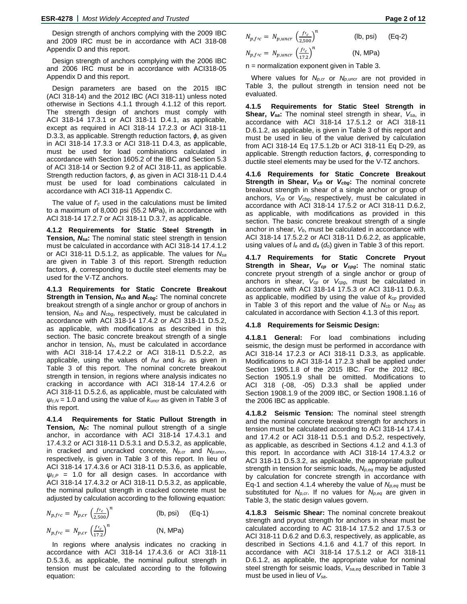Design strength of anchors complying with the 2009 IBC and 2009 IRC must be in accordance with ACI 318-08 Appendix D and this report.

Design strength of anchors complying with the 2006 IBC and 2006 IRC must be in accordance with ACI318-05 Appendix D and this report.

Design parameters are based on the 2015 IBC (ACI 318-14) and the 2012 IBC (ACI 318-11) unless noted otherwise in Sections 4.1.1 through 4.1.12 of this report. The strength design of anchors must comply with ACI 318-14 17.3.1 or ACI 318-11 D.4.1, as applicable, except as required in ACI 318-14 17.2.3 or ACI 318-11 D.3.3, as applicable. Strength reduction factors, *ϕ*, as given in ACI 318-14 17.3.3 or ACI 318-11 D.4.3, as applicable, must be used for load combinations calculated in accordance with Section 1605.2 of the IBC and Section 5.3 of ACI 318-14 or Section 9.2 of ACI 318-11, as applicable. Strength reduction factors, *ϕ*, as given in ACI 318-11 D.4.4 must be used for load combinations calculated in accordance with ACI 318-11 Appendix C.

The value of *f'c* used in the calculations must be limited to a maximum of 8,000 psi (55.2 MPa), in accordance with ACI 318-14 17.2.7 or ACI 318-11 D.3.7, as applicable.

**4.1.2 Requirements for Static Steel Strength in Tension,** *Nsa***:** The nominal static steel strength in tension must be calculated in accordance with ACI 318-14 17.4.1.2 or ACI 318-11 D.5.1.2, as applicable. The values for *Nsa* are given in Table 3 of this report. Strength reduction factors, *ϕ*, corresponding to ductile steel elements may be used for the V-TZ anchors.

**4.1.3 Requirements for Static Concrete Breakout Strength in Tension,** *Ncb* **and** *Ncbg***:** The nominal concrete breakout strength of a single anchor or group of anchors in tension, *Ncb* and *Ncbg*, respectively, must be calculated in accordance with ACI 318-14 17.4.2 or ACI 318-11 D.5.2, as applicable, with modifications as described in this section. The basic concrete breakout strength of a single anchor in tension, *Nb*, must be calculated in accordance with ACI 318-14 17.4.2.2 or ACI 318-11 D.5.2.2, as applicable, using the values of *hef* and *kcr* as given in Table 3 of this report. The nominal concrete breakout strength in tension, in regions where analysis indicates no cracking in accordance with ACI 318-14 17.4.2.6 or ACI 318-11 D.5.2.6, as applicable, must be calculated with *ψc,N* = 1.0 and using the value of *kuncr* as given in Table 3 of this report.

**4.1.4 Requirements for Static Pullout Strength in Tension,** *Np***:** The nominal pullout strength of a single anchor, in accordance with ACI 318-14 17.4.3.1 and 17.4.3.2 or ACI 318-11 D.5.3.1 and D.5.3.2, as applicable, in cracked and uncracked concrete, *Np,cr* and *Np,uncr*, respectively, is given in Table 3 of this report. In lieu of ACI 318-14 17.4.3.6 or ACI 318-11 D.5.3.6, as applicable, *ψc,P* = 1.0 for all design cases. In accordance with ACI 318-14 17.4.3.2 or ACI 318-11 D.5.3.2, as applicable, the nominal pullout strength in cracked concrete must be adjusted by calculation according to the following equation:

$$
N_{p,frc} = N_{p,cr} \left(\frac{f r_c}{2,500}\right)^n
$$
 (lb, psi) (Eq-1)  
\n
$$
N_{p,frc} = N_{p,cr} \left(\frac{f r_c}{17.2}\right)^n
$$
 (N, MPa)

In regions where analysis indicates no cracking in accordance with ACI 318-14 17.4.3.6 or ACI 318-11 D.5.3.6, as applicable, the nominal pullout strength in tension must be calculated according to the following equation:

$$
N_{p,frc} = N_{p,uncr} \left(\frac{fr_c}{2,500}\right)^n
$$
 (lb, psi) (Eq-2)

$$
N_{p,frc} = N_{p,uncr} \left(\frac{f'c}{17.2}\right)^n \tag{N, MPa}
$$

n = normalization exponent given in Table 3.

Where values for *Np,cr* or *Np,uncr* are not provided in Table 3, the pullout strength in tension need not be evaluated.

**4.1.5 Requirements for Static Steel Strength in Shear,** *Vsa***:** The nominal steel strength in shear, *Vsa*, in accordance with ACI 318-14 17.5.1.2 or ACI 318-11 D.6.1.2, as applicable, is given in Table 3 of this report and must be used in lieu of the value derived by calculation from ACI 318-14 Eq 17.5.1.2b or ACI 318-11 Eq D-29, as applicable. Strength reduction factors, *ϕ*, corresponding to ductile steel elements may be used for the V-TZ anchors.

**4.1.6 Requirements for Static Concrete Breakout Strength in Shear,** *Vcb* **or** *Vcbg***:** The nominal concrete breakout strength in shear of a single anchor or group of anchors, *Vcb* or *Vcbg*, respectively, must be calculated in accordance with ACI 318-14 17.5.2 or ACI 318-11 D.6.2, as applicable, with modifications as provided in this section. The basic concrete breakout strength of a single anchor in shear, *Vb*, must be calculated in accordance with ACI 318-14 17.5.2.2 or ACI 318-11 D.6.2.2, as applicable, using values of *le* and *da* (*do*) given in Table 3 of this report.

**4.1.7 Requirements for Static Concrete Pryout Strength in Shear,** *Vcp* **or** *Vcpg***:** The nominal static concrete pryout strength of a single anchor or group of anchors in shear, *Vcp* or *Vcpg*, must be calculated in accordance with ACI 318-14 17.5.3 or ACI 318-11 D.6.3, as applicable, modified by using the value of *kcp* provided in Table 3 of this report and the value of *Ncb* or *Ncbg* as calculated in accordance with Section 4.1.3 of this report.

### **4.1.8 Requirements for Seismic Design:**

**4.1.8.1 General:** For load combinations including seismic, the design must be performed in accordance with ACI 318-14 17.2.3 or ACI 318-11 D.3.3, as applicable. Modifications to ACI 318-14 17.2.3 shall be applied under Section 1905.1.8 of the 2015 IBC. For the 2012 IBC, Section 1905.1.9 shall be omitted. Modifications to ACI 318 (-08, -05) D.3.3 shall be applied under Section 1908.1.9 of the 2009 IBC, or Section 1908.1.16 of the 2006 IBC as applicable.

**4.1.8.2 Seismic Tension:** The nominal steel strength and the nominal concrete breakout strength for anchors in tension must be calculated according to ACI 318-14 17.4.1 and 17.4.2 or ACI 318-11 D.5.1 and D.5.2, respectively, as applicable, as described in Sections 4.1.2 and 4.1.3 of this report. In accordance with ACI 318-14 17.4.3.2 or ACI 318-11 D.5.3.2, as applicable, the appropriate pullout strength in tension for seismic loads, *Np,eq* may be adjusted by calculation for concrete strength in accordance with Eq-1 and section 4.1.4 whereby the value of  $N_{p,eq}$  must be substituted for *Np,cr*. If no values for *Np,eq* are given in Table 3, the static design values govern.

**4.1.8.3 Seismic Shear:** The nominal concrete breakout strength and pryout strength for anchors in shear must be calculated according to AC 318-14 17.5.2 and 17.5.3 or ACI 318-11 D.6.2 and D.6.3, respectively, as applicable, as described in Sections 4.1.6 and 4.1.7 of this report. In accordance with ACI 318-14 17.5.1.2 or ACI 318-11 D.6.1.2, as applicable, the appropriate value for nominal steel strength for seismic loads, *Vsa,eq* described in Table 3 must be used in lieu of *Vsa*.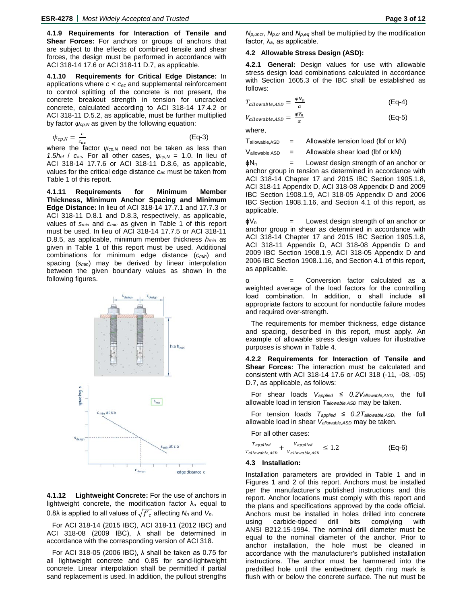**4.1.9 Requirements for Interaction of Tensile and Shear Forces:** For anchors or groups of anchors that are subject to the effects of combined tensile and shear forces, the design must be performed in accordance with ACI 318-14 17.6 or ACI 318-11 D.7, as applicable.

**4.1.10 Requirements for Critical Edge Distance:** In applications where *c < cac* and supplemental reinforcement to control splitting of the concrete is not present, the concrete breakout strength in tension for uncracked concrete, calculated according to ACI 318-14 17.4.2 or ACI 318-11 D.5.2, as applicable, must be further multiplied by factor *ψcp,N* as given by the following equation:

$$
\psi_{cp,N} = \frac{c}{c_{ac}} \tag{Eq-3}
$$

where the factor  $\psi_{cp,N}$  need not be taken as less than *1.5h<sub>ef</sub>* /  $c_{ac}$ . For all other cases,  $\psi_{cp,N} = 1.0$ . In lieu of ACI 318-14 17.7.6 or ACI 318-11 D.8.6, as applicable, values for the critical edge distance *cac* must be taken from Table 1 of this report.

**4.1.11 Requirements for Minimum Member Thickness, Minimum Anchor Spacing and Minimum Edge Distance:** In lieu of ACI 318-14 17.7.1 and 17.7.3 or ACI 318-11 D.8.1 and D.8.3, respectively, as applicable, values of *smin* and *cmin* as given in Table 1 of this report must be used. In lieu of ACI 318-14 17.7.5 or ACI 318-11 D.8.5, as applicable, minimum member thickness *hmin* as given in Table 1 of this report must be used. Additional combinations for minimum edge distance (*cmin*) and spacing (*smin*) may be derived by linear interpolation between the given boundary values as shown in the following figures.



**4.1.12 Lightweight Concrete:** For the use of anchors in lightweight concrete, the modification factor λ*<sup>a</sup>* equal to 0.8 $\lambda$  is applied to all values of  $\sqrt{f'}_c$  affecting  $N_n$  and  $V_n$ .

For ACI 318-14 (2015 IBC), ACI 318-11 (2012 IBC) and ACI 318-08 (2009 IBC), λ shall be determined in accordance with the corresponding version of ACI 318.

For ACI 318-05 (2006 IBC), λ shall be taken as 0.75 for all lightweight concrete and 0.85 for sand-lightweight concrete. Linear interpolation shall be permitted if partial sand replacement is used. In addition, the pullout strengths

(Eq-5)

*Np,uncr*, *Np,cr* and *Np,eq* shall be multiplied by the modification factor, λ*a*, as applicable.

### **4.2 Allowable Stress Design (ASD):**

**4.2.1 General:** Design values for use with allowable stress design load combinations calculated in accordance with Section 1605.3 of the IBC shall be established as follows:

$$
T_{allowable,ASD} = \frac{\phi N_n}{\alpha} \tag{Eq-4}
$$

$$
V_{allowable,ASD} = \frac{\phi V_n}{\alpha}
$$

where,

 $V_{\text{allowable,ASD}}$  = Allowable shear load (lbf or kN)

 $\phi N_n$  = Lowest design strength of an anchor or anchor group in tension as determined in accordance with ACI 318-14 Chapter 17 and 2015 IBC Section 1905.1.8, ACI 318-11 Appendix D, ACI 318-08 Appendix D and 2009 IBC Section 1908.1.9, ACI 318-05 Appendix D and 2006 IBC Section 1908.1.16, and Section 4.1 of this report, as applicable.

 $\phi V_n$  = Lowest design strength of an anchor or anchor group in shear as determined in accordance with ACI 318-14 Chapter 17 and 2015 IBC Section 1905.1.8, ACI 318-11 Appendix D, ACI 318-08 Appendix D and 2009 IBC Section 1908.1.9, ACI 318-05 Appendix D and 2006 IBC Section 1908.1.16, and Section 4.1 of this report, as applicable.

α = Conversion factor calculated as a weighted average of the load factors for the controlling load combination. In addition, α shall include all appropriate factors to account for nonductile failure modes and required over-strength.

The requirements for member thickness, edge distance and spacing, described in this report, must apply. An example of allowable stress design values for illustrative purposes is shown in Table 4.

**4.2.2 Requirements for Interaction of Tensile and Shear Forces:** The interaction must be calculated and consistent with ACI 318-14 17.6 or ACI 318 (-11, -08, -05) D.7, as applicable, as follows:

For shear loads *Vapplied ≤ 0.2Vallowable,ASD*, the full allowable load in tension *Tallowable,ASD* may be taken.

For tension loads *Tapplied ≤ 0.2Tallowable,ASD,* the full allowable load in shear *Vallowable,ASD* may be taken.

For all other cases:

T<sub>applied</sub>  $\frac{r_{\textit{applied}}}{r_{\textit{allowable,ASD}}} + \frac{r_{\textit{applied}}}{r_{\textit{allowable,ASD}}}$  $\frac{V_{applied}}{V_{1} + V_{2}} \leq 1.2$  (Eq-6)

### **4.3 Installation:**

Installation parameters are provided in Table 1 and in Figures 1 and 2 of this report. Anchors must be installed per the manufacturer's published instructions and this report. Anchor locations must comply with this report and the plans and specifications approved by the code official. Anchors must be installed in holes drilled into concrete using carbide-tipped drill bits complying with ANSI B212.15-1994. The nominal drill diameter must be equal to the nominal diameter of the anchor. Prior to anchor installation, the hole must be cleaned in accordance with the manufacturer's published installation instructions. The anchor must be hammered into the predrilled hole until the embedment depth ring mark is flush with or below the concrete surface. The nut must be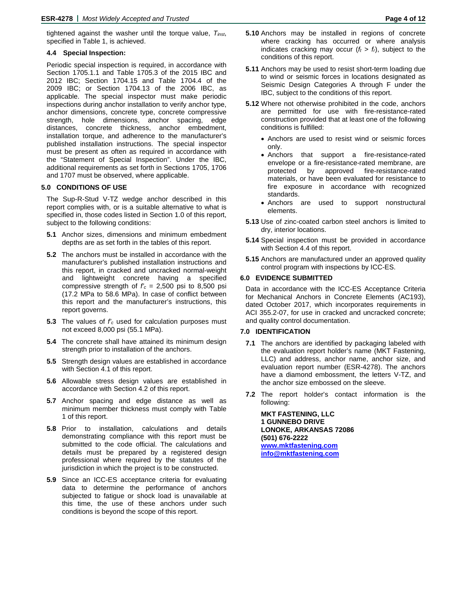tightened against the washer until the torque value, *Tinst*, specified in Table 1, is achieved.

### **4.4 Special Inspection:**

Periodic special inspection is required, in accordance with Section 1705.1.1 and Table 1705.3 of the 2015 IBC and 2012 IBC; Section 1704.15 and Table 1704.4 of the 2009 IBC; or Section 1704.13 of the 2006 IBC, as applicable. The special inspector must make periodic inspections during anchor installation to verify anchor type, anchor dimensions, concrete type, concrete compressive strength, hole dimensions, anchor spacing, edge distances, concrete thickness, anchor embedment, installation torque, and adherence to the manufacturer's published installation instructions. The special inspector must be present as often as required in accordance with the "Statement of Special Inspection". Under the IBC, additional requirements as set forth in Sections 1705, 1706 and 1707 must be observed, where applicable.

### **5.0 CONDITIONS OF USE**

The Sup-R-Stud V-TZ wedge anchor described in this report complies with, or is a suitable alternative to what is specified in, those codes listed in Section 1.0 of this report, subject to the following conditions:

- **5.1** Anchor sizes, dimensions and minimum embedment depths are as set forth in the tables of this report.
- **5.2** The anchors must be installed in accordance with the manufacturer's published installation instructions and this report, in cracked and uncracked normal-weight and lightweight concrete having a specified compressive strength of  $f'_c = 2,500$  psi to 8,500 psi (17.2 MPa to 58.6 MPa). In case of conflict between this report and the manufacturer's instructions, this report governs.
- **5.3** The values of *f'c* used for calculation purposes must not exceed 8,000 psi (55.1 MPa).
- **5.4** The concrete shall have attained its minimum design strength prior to installation of the anchors.
- **5.5** Strength design values are established in accordance with Section 4.1 of this report.
- **5.6** Allowable stress design values are established in accordance with Section 4.2 of this report.
- **5.7** Anchor spacing and edge distance as well as minimum member thickness must comply with Table 1 of this report.
- **5.8** Prior to installation, calculations and details demonstrating compliance with this report must be submitted to the code official. The calculations and details must be prepared by a registered design professional where required by the statutes of the jurisdiction in which the project is to be constructed.
- **5.9** Since an ICC-ES acceptance criteria for evaluating data to determine the performance of anchors subjected to fatigue or shock load is unavailable at this time, the use of these anchors under such conditions is beyond the scope of this report.
- **5.10** Anchors may be installed in regions of concrete where cracking has occurred or where analysis indicates cracking may occur  $(f_t > f_t)$ , subject to the conditions of this report.
- **5.11** Anchors may be used to resist short-term loading due to wind or seismic forces in locations designated as Seismic Design Categories A through F under the IBC, subject to the conditions of this report.
- **5.12** Where not otherwise prohibited in the code, anchors are permitted for use with fire-resistance-rated construction provided that at least one of the following conditions is fulfilled:
	- Anchors are used to resist wind or seismic forces only.
	- Anchors that support a fire-resistance-rated envelope or a fire-resistance-rated membrane, are protected by approved fire-resistance-rated materials, or have been evaluated for resistance to fire exposure in accordance with recognized standards.
	- Anchors are used to support nonstructural elements.
- **5.13** Use of zinc-coated carbon steel anchors is limited to dry, interior locations.
- **5.14** Special inspection must be provided in accordance with Section 4.4 of this report.
- **5.15** Anchors are manufactured under an approved quality control program with inspections by ICC-ES.

### **6.0 EVIDENCE SUBMITTED**

Data in accordance with the ICC-ES Acceptance Criteria for Mechanical Anchors in Concrete Elements (AC193), dated October 2017, which incorporates requirements in ACI 355.2-07, for use in cracked and uncracked concrete; and quality control documentation.

### **7.0 IDENTIFICATION**

- **7.1** The anchors are identified by packaging labeled with the evaluation report holder's name (MKT Fastening, LLC) and address, anchor name, anchor size, and evaluation report number (ESR-4278). The anchors have a diamond embossment, the letters V-TZ, and the anchor size embossed on the sleeve.
- **7.2** The report holder's contact information is the following:

**MKT FASTENING, LLC 1 GUNNEBO DRIVE LONOKE, ARKANSAS 72086 (501) 676-2222 [www.mktfastening.com](http://www.mktfastening.com/) [info@mktfastening.com](mailto:info@mktfastening.com)**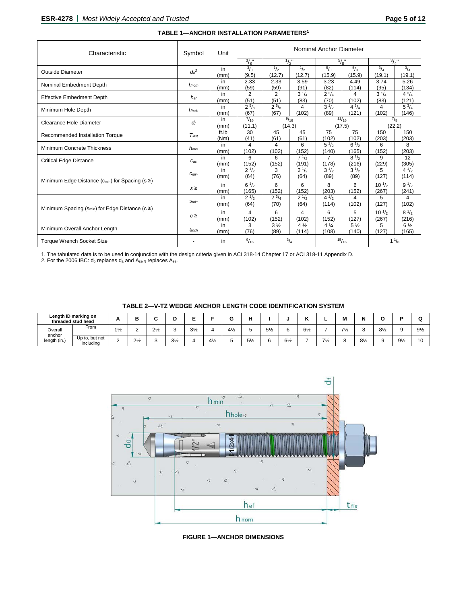| Characteristic                                               | Symbol     | Unit          | Nominal Anchor Diameter |                        |                         |                         |                         |                                         |                         |  |  |
|--------------------------------------------------------------|------------|---------------|-------------------------|------------------------|-------------------------|-------------------------|-------------------------|-----------------------------------------|-------------------------|--|--|
|                                                              |            |               | $^{3}/_{8}$ "           | $\frac{1}{2}$ "        |                         | $^{5}/_{8}$ "           |                         | $^{3}/_{4}$ "                           |                         |  |  |
| Outside Diameter                                             | $d_0^2$    | in<br>(mm)    | $\frac{3}{8}$<br>(9.5)  | 1/2<br>(12.7)          | 1/2<br>(12.7)           | $^{5}/_{8}$<br>(15.9)   | $\frac{5}{8}$<br>(15.9) | $^{3}/_{4}$<br>(19.1)                   | $^{3}/_{4}$<br>(19.1)   |  |  |
| Nominal Embedment Depth                                      | $h_{nom}$  | in<br>(mm)    | 2.33<br>(59)            | 2.33<br>(59)           | 3.59<br>(91)            | 3.23<br>(82)            | 4.49<br>(114)           | 3.74<br>(95)                            | 5.26<br>(134)           |  |  |
| <b>Effective Embedment Depth</b>                             | $h_{ef}$   | in<br>(mm)    | 2<br>(51)               | $\overline{2}$<br>(51) | $3^{1/4}$<br>(83)       | $2^{3}/_{4}$<br>(70)    | 4<br>(102)              | $3^{1/4}$<br>(83)                       | $4^{3}/_{4}$<br>(121)   |  |  |
| Minimum Hole Depth                                           | $h_{hole}$ | in<br>(mm)    | $2^{5}/8$<br>(67)       | $2^{5}/8$<br>(67)      | 4<br>(102)              | $3^{1/2}$<br>(89)       | $4^{3}/_{4}$<br>(121)   | 4<br>(102)                              | $5^{3}/_{4}$<br>(146)   |  |  |
| Clearance Hole Diameter                                      | df         | in<br>(mm)    | $^{7}/_{16}$<br>(11.1)  |                        | 9/16<br>(14.3)          |                         | 11/16<br>(17.5)         |                                         | $^{7}/_8$<br>(22.2)     |  |  |
| Recommended Installation Torque                              | $T_{inst}$ | ft.lb<br>(Nm) | 30<br>(41)              | 45<br>(61)             | 45<br>(61)              | 75<br>(102)             | 75<br>(102)             | 150<br>(203)                            | 150<br>(203)            |  |  |
| Minimum Concrete Thickness                                   | $h_{min}$  | in<br>(mm)    | 4<br>(102)              | 4<br>(102)             | 6<br>(152)              | $5\frac{1}{2}$<br>(140) | $6\frac{1}{2}$<br>(165) | 6<br>(152)                              | 8<br>(203)              |  |  |
| <b>Critical Edge Distance</b>                                | $C_{ac}$   | in<br>(mm)    | 6<br>(152)              | 6<br>(152)             | $7^{1/2}$<br>(191)      | $\overline{7}$<br>(178) | $8^{1/2}$<br>(216)      | 9<br>(229)                              | 12<br>(305)             |  |  |
|                                                              | $C_{min}$  | in<br>(mm)    | $2^{1/2}$<br>(64)       | 3<br>(76)              | $2^{1/2}$<br>(64)       | $3^{1/2}$<br>(89)       | $3^{1/2}$<br>(89)       | 5<br>(127)                              | $4^{1/2}$<br>(114)      |  |  |
| Minimum Edge Distance ( $c_{min}$ ) for Spacing ( $s \geq$ ) | $s \geq$   | in<br>(mm)    | $6^{1/2}$<br>(165)      | 6<br>(152)             | 6<br>(152)              | 8<br>(203)              | 6<br>(152)              | $10^{1/2}$<br>(267)                     | $9^{1/2}$<br>(241)      |  |  |
|                                                              | Smin       | in<br>(mm)    | $2^{1/2}$<br>(64)       | $2^{3}/_{4}$<br>(70)   | $2^{1/2}$<br>(64)       | $4^{1/2}$<br>(114)      | 4<br>(102)              | 5<br>(127)                              | 4<br>(102)              |  |  |
| Minimum Spacing ( $S_{min}$ ) for Edge Distance ( $c \geq$ ) | $c \geq$   | in<br>(mm)    | 4<br>(102)              | 6<br>(152)             | 4<br>(102)              | 6<br>(152)              | 5<br>(127)              | 10 <sup>1</sup> / <sub>2</sub><br>(267) | $8^{1/2}$<br>(216)      |  |  |
| Minimum Overall Anchor Length                                | lanch      | in<br>(mm)    | 3<br>(76)               | $3\frac{1}{2}$<br>(89) | $4\frac{1}{2}$<br>(114) | $4\frac{1}{4}$<br>(108) | 5 <sub>2</sub><br>(140) | 5<br>(127)                              | $6\frac{1}{2}$<br>(165) |  |  |
| <b>Torque Wrench Socket Size</b>                             |            | in            | 9/16                    | $^{3}/_{4}$            |                         | 15/16                   |                         | $1\frac{1}{8}$                          |                         |  |  |

### **TABLE 1—ANCHOR INSTALLATION PARAMETERS1**

1. The tabulated data is to be used in conjunction with the design criteria given in ACI 318-14 Chapter 17 or ACI 318-11 Appendix D.

2. For the 2006 IBC:  $d_0$  replaces  $d_a$  and  $A_{se,N}$  replaces  $A_{se}$ .

| threaded stud head     | Length ID marking on        | -          |                |                |                |                        |                |                      |    |                |                | .,             |      | M              | . .            |                |                |                     |
|------------------------|-----------------------------|------------|----------------|----------------|----------------|------------------------|----------------|----------------------|----|----------------|----------------|----------------|------|----------------|----------------|----------------|----------------|---------------------|
| Overall                | From                        | 41.<br>1⁄2 |                | $2\frac{1}{2}$ |                | 21/<br>$\mathcal{Q}/2$ |                | 41<br>$4\frac{1}{2}$ | v  | $5\frac{1}{2}$ |                | $6\frac{1}{2}$ |      | $7\frac{1}{2}$ |                | $8\frac{1}{2}$ |                | $9\frac{1}{2}$      |
| anchor<br>length (in.) | Up to, but not<br>including |            | $2\frac{1}{2}$ |                | $3\frac{1}{2}$ |                        | $4\frac{1}{2}$ |                      | 5% |                | $6\frac{1}{2}$ |                | $-1$ |                | $8\frac{1}{2}$ |                | $9\frac{1}{2}$ | $\overline{1}$<br>◡ |



**FIGURE 1—ANCHOR DIMENSIONS**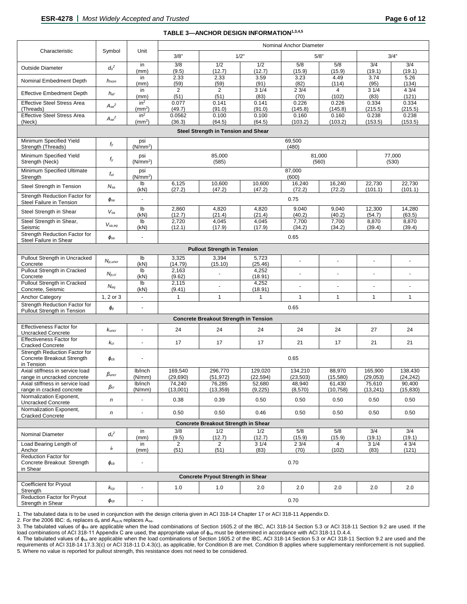|                                                                                  |                          |                              | Nominal Anchor Diameter                               |                                              |                     |                     |                     |                    |                      |  |  |
|----------------------------------------------------------------------------------|--------------------------|------------------------------|-------------------------------------------------------|----------------------------------------------|---------------------|---------------------|---------------------|--------------------|----------------------|--|--|
| Characteristic                                                                   | Symbol                   | Unit                         | 3/8"<br>1/2"                                          |                                              |                     | 3/4"<br>5/8"        |                     |                    |                      |  |  |
| <b>Outside Diameter</b>                                                          | $d_o^2$                  | in<br>(mm)                   | 3/8<br>(9.5)                                          | 1/2<br>(12.7)                                | 1/2<br>(12.7)       | 5/8<br>(15.9)       | 5/8<br>(15.9)       | 3/4<br>(19.1)      | 3/4<br>(19.1)        |  |  |
| Nominal Embedment Depth                                                          | $h_{nom}$                | in                           | 2.33                                                  | 2.33                                         | 3.59<br>(91)        | 3.23                | 4.49                | 3.74               | 5.26<br>(134)        |  |  |
| <b>Effective Embedment Depth</b>                                                 | $h_{ef}$                 | (mm)<br>in                   | (59)<br>$\overline{2}$                                | (59)<br>2                                    | 31/4                | (82)<br>23/4        | (114)<br>4          | (95)<br>31/4       | 43/4                 |  |  |
| <b>Effective Steel Stress Area</b>                                               |                          | (mm)<br>in <sup>2</sup>      | (51)<br>0.077                                         | (51)<br>0.141                                | (83)<br>0.141       | (70)<br>0.226       | (102)<br>0.226      | (83)<br>0.334      | (121)<br>0.334       |  |  |
| (Threads)<br><b>Effective Steel Stress Area</b>                                  | $A_{se}^{\phantom{se}2}$ | (mm <sup>2</sup> )<br>$in^2$ | (49.7)                                                | (91.0)                                       | (91.0)<br>0.100     | (145.8)             | (145.8)             | (215.5)            | (215.5)<br>0.238     |  |  |
| (Neck)                                                                           | $A_{se}^{\phantom{se}2}$ | (mm <sup>2</sup> )           | 0.0562<br>(36.3)                                      | 0.100<br>(64.5)                              | (64.5)              | 0.160<br>(103.2)    | 0.160<br>(103.2)    | 0.238<br>(153.5)   | (153.5)              |  |  |
| Steel Strength in Tension and Shear                                              |                          |                              |                                                       |                                              |                     |                     |                     |                    |                      |  |  |
| Minimum Specified Yield<br>Strength (Threads)                                    | fy                       | psi<br>(N/mm <sup>2</sup> )  | 69,500<br>(480)                                       |                                              |                     |                     |                     |                    |                      |  |  |
| Minimum Specified Yield<br>Strength (Neck)                                       | fy                       | psi<br>(N/mm <sup>2</sup> )  | 77,000<br>85,000<br>81,000<br>(530)<br>(585)<br>(560) |                                              |                     |                     |                     |                    |                      |  |  |
| Minimum Specified Ultimate<br>Strength                                           | $f_{ut}$                 | psi<br>(N/mm <sup>2</sup> )  |                                                       | 87,000<br>(600)                              |                     |                     |                     |                    |                      |  |  |
| Steel Strength in Tension                                                        | $N_{sa}$                 | Ib<br>(kN)                   | 6,125<br>(27.2)                                       | 10,600<br>(47.2)                             | 10,600<br>(47.2)    | 16,240<br>(72.2)    | 16,240<br>(72.2)    | 22,730<br>(101.1)  | 22,730<br>(101.1)    |  |  |
| Strength Reduction Factor for<br>Steel Failure in Tension                        | $\phi_{\textit{sa}}$     | ÷,                           |                                                       |                                              |                     | 0.75                |                     |                    |                      |  |  |
| Steel Strength in Shear                                                          | $V_{sa}$                 | I <sub>b</sub><br>(kN)       | 2,860<br>(12.7)                                       | 4,820<br>(21.4)                              | 4,820<br>(21.4)     | 9,040<br>(40.2)     | 9,040<br>(40.2)     | 12,300<br>(54.7)   | 14,280<br>(63.5)     |  |  |
| Steel Strength in Shear,<br>Seismic                                              | $V_{sa,eq}$              | lb<br>(kN)                   | 2,720<br>(12.1)                                       | 4,045<br>(17.9)                              | 4,045<br>(17.9)     | 7,700<br>(34.2)     | 7,700<br>(34.2)     | 8,870<br>(39.4)    | 8,870<br>(39.4)      |  |  |
| Strength Reduction Factor for<br>Steel Failure in Shear                          | $\phi_{\textit{sa}}$     |                              |                                                       |                                              |                     | 0.65                |                     |                    |                      |  |  |
| <b>Pullout Strength in Tension</b>                                               |                          |                              |                                                       |                                              |                     |                     |                     |                    |                      |  |  |
| Pullout Strength in Uncracked<br>Concrete                                        | $N_{p, uncr}$            | lb<br>(kN)                   | 3,325<br>(14.79)                                      | 3,394<br>(15.10)                             | 5,723<br>(25.46)    | ÷,                  | ÷,                  | ä,                 | ٠                    |  |  |
| Pullout Strength in Cracked<br>Concrete                                          | $N_{p,cr}$               | Ib<br>(kN)                   | 2,163<br>(9.62)                                       |                                              | 4,252<br>(18.91)    |                     | ÷,                  | ä,                 | $\ddot{\phantom{0}}$ |  |  |
| Pullout Strength in Cracked<br>Concrete, Seismic                                 | $N_{eq}$                 | lb<br>(kN)                   | 2,115<br>(9.41)                                       |                                              | 4,252<br>(18.91)    | ÷.                  |                     |                    | $\overline{a}$       |  |  |
| Anchor Category                                                                  | 1, 2 or 3                | $\blacksquare$               | $\mathbf{1}$                                          | $\mathbf{1}$                                 | $\mathbf{1}$        | $\mathbf{1}$        | $\mathbf{1}$        | $\mathbf{1}$       | $\mathbf{1}$         |  |  |
| Strength Reduction Factor for<br>Pullout Strength in Tension                     | $\phi_{P}$               | $\blacksquare$               | 0.65                                                  |                                              |                     |                     |                     |                    |                      |  |  |
|                                                                                  |                          |                              |                                                       | <b>Concrete Breakout Strength in Tension</b> |                     |                     |                     |                    |                      |  |  |
| Effectiveness Factor for<br><b>Uncracked Concrete</b>                            | Kuncr                    | ÷,                           | 24                                                    | 24                                           | 24                  | 24                  | 24                  | 27                 | 24                   |  |  |
| Effectiveness Factor for<br><b>Cracked Concrete</b>                              | $k_{cr}$                 |                              | 17                                                    | 17                                           | 17                  | 21                  | 17                  | 21                 | 21                   |  |  |
| <b>Strength Reduction Factor for</b><br>Concrete Breakout Strength<br>in Tension | $\phi_{cb}$              |                              | 0.65                                                  |                                              |                     |                     |                     |                    |                      |  |  |
| Axial stiffness in service load                                                  | $\beta_{\text{uncr}}$    | lb/inch                      | 169,540                                               | 296,770                                      | 129,020             | 134,210             | 88,970              | 165,900            | 138,430              |  |  |
| range in uncracked concrete<br>Axial stiffness in service load                   |                          | (N/mm)<br>lb/inch            | (29, 690)<br>74,240                                   | (51, 972)<br>76,285                          | (22, 594)<br>52,680 | (23, 503)<br>48,940 | (15, 580)<br>61,430 | (29,053)<br>75,610 | (24, 242)<br>90,400  |  |  |
| range in cracked concrete                                                        | $\beta$ cr               | (N/mm)                       | (13,001)                                              | (13, 359)                                    | (9, 225)            | (8,570)             | (10, 758)           | (13,241)           | (15, 830)            |  |  |
| Normalization Exponent,<br><b>Uncracked Concrete</b>                             | n                        | ÷,                           | 0.38                                                  | 0.39                                         | 0.50                | 0.50                | 0.50                | 0.50               | 0.50                 |  |  |
| Normalization Exponent,<br><b>Cracked Concrete</b>                               | n                        | $\blacksquare$               | 0.50                                                  | 0.50                                         | 0.46                | 0.50                | 0.50                | 0.50               | 0.50                 |  |  |
| <b>Concrete Breakout Strength in Shear</b>                                       |                          |                              |                                                       |                                              |                     |                     |                     |                    |                      |  |  |
| Nominal Diameter                                                                 | $d_o^2$                  | in<br>(mm)                   | 3/8<br>(9.5)                                          | 1/2<br>(12.7)                                | 1/2<br>(12.7)       | 5/8<br>(15.9)       | 5/8<br>(15.9)       | 3/4<br>(19.1)      | 3/4<br>(19.1)        |  |  |
| Load Bearing Length of<br>Anchor                                                 | le                       | in<br>(mm)                   | $\overline{2}$<br>(51)                                | $\overline{2}$<br>(51)                       | 31/4<br>(83)        | 23/4<br>(70)        | 4<br>(102)          | 31/4<br>(83)       | 43/4<br>(121)        |  |  |
| <b>Reduction Factor for</b><br>Concrete Breakout Strength                        | $\phi_{cb}$              | $\overline{\phantom{a}}$     | 0.70                                                  |                                              |                     |                     |                     |                    |                      |  |  |
| in Shear                                                                         |                          |                              |                                                       | <b>Concrete Pryout Strength in Shear</b>     |                     |                     |                     |                    |                      |  |  |
| Coefficient for Pryout<br>Strength                                               | $k_{cp}$                 | $\ddot{\phantom{a}}$         | 1.0                                                   | 1.0                                          | 2.0                 | 2.0                 | 2.0                 | 2.0                | 2.0                  |  |  |
| Reduction Factor for Pryout<br>Strength in Shear                                 | $\pmb{\phi}$ cp          | $\blacksquare$               |                                                       |                                              |                     | 0.70                |                     |                    |                      |  |  |

1. The tabulated data is to be used in conjunction with the design criteria given in ACI 318-14 Chapter 17 or ACI 318-11 Appendix D.

2. For the 2006 IBC: do replaces da and Ase,N replaces Ase.

3. The tabulated values of ϕ<sub>sa</sub> are applicable when the load combinations of Section 1605.2 of the IBC, ACI 318-14 Section 5.3 or ACI 318-11 Section 9.2 are used. If the load combinations of ACI 318-11 Appendix C are used, the appropriate value of  $\phi_{sa}$  must be determined in accordance with ACI 318-11 D.4.4.

4. The tabulated values of φ<sub>sa</sub> are applicable when the load combinations of Section 1605.2 of the IBC, ACI 318-14 Section 5.3 or ACI 318-11 Section 9.2 are used and the requirements of ACI 318-14 17.3.3(c) or ACI 318-11 D.4.3(c), as applicable, for Condition B are met. Condition B applies where supplementary reinforcement is not supplied. 5. Where no value is reported for pullout strength, this resistance does not need to be considered.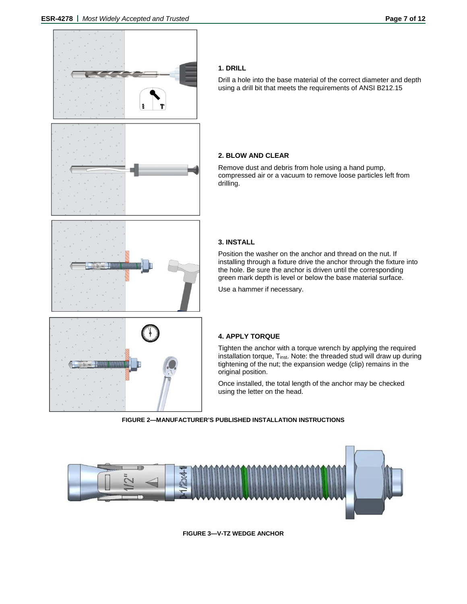

### **1. DRILL**

Drill a hole into the base material of the correct diameter and depth using a drill bit that meets the requirements of ANSI B212.15

### **2. BLOW AND CLEAR**

Remove dust and debris from hole using a hand pump, compressed air or a vacuum to remove loose particles left from drilling.

### **3. INSTALL**

Position the washer on the anchor and thread on the nut. If installing through a fixture drive the anchor through the fixture into the hole. Be sure the anchor is driven until the corresponding green mark depth is level or below the base material surface.

Use a hammer if necessary.

### **4. APPLY TORQUE**

Tighten the anchor with a torque wrench by applying the required installation torque, Tinst. Note: the threaded stud will draw up during tightening of the nut; the expansion wedge (clip) remains in the original position.

Once installed, the total length of the anchor may be checked using the letter on the head.

**FIGURE 2—MANUFACTURER'S PUBLISHED INSTALLATION INSTRUCTIONS**



**FIGURE 3—V-TZ WEDGE ANCHOR**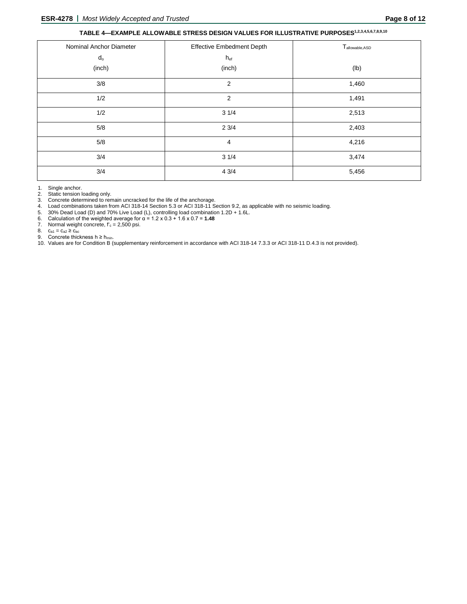### **TABLE 4—EXAMPLE ALLOWABLE STRESS DESIGN VALUES FOR ILLUSTRATIVE PURPOSES1,2,3,4,5,6,7,8,9,10**

| Nominal Anchor Diameter | <b>Effective Embedment Depth</b> | T <sub>allowable, ASD</sub> |
|-------------------------|----------------------------------|-----------------------------|
| $d_{o}$                 | $h_{ef}$                         |                             |
| (inch)                  | (inch)                           | (1b)                        |
| 3/8                     | $\overline{2}$                   | 1,460                       |
| 1/2                     | $\overline{2}$                   | 1,491                       |
| 1/2                     | 31/4                             | 2,513                       |
| 5/8                     | 23/4                             | 2,403                       |
| 5/8                     | 4                                | 4,216                       |
| 3/4                     | 31/4                             | 3,474                       |
| 3/4                     | 43/4                             | 5,456                       |

1. Single anchor.

2. Static tension loading only.

3. Concrete determined to remain uncracked for the life of the anchorage.

4. Load combinations taken from ACI 318-14 Section 5.3 or ACI 318-11 Section 9.2, as applicable with no seismic loading.

5. 30% Dead Load (D) and 70% Live Load (L), controlling load combination 1.2D + 1.6L. 5. 30% Dead Load (D) and 70% Live Load<br>6. Calculation of the weighted average for<br>7. Normal weight concrete,  $f_c = 2,500$  psi.<br>8.  $c_{a1} = c_{a2} \ge c_{ac}$ 

6. Calculation of the weighted average for α = 1.2 x 0.3 + 1.6 x 0.7 = **1.48**

 $\mathrm{c}_{\mathrm{a}1}=\mathrm{c}_{\mathrm{a}2} \geq \mathrm{c}_{\mathrm{ac}}$ 

9. Concrete thickness  $h$  ≥ h<sub>min</sub>.

10. Values are for Condition B (supplementary reinforcement in accordance with ACI 318-14 7.3.3 or ACI 318-11 D.4.3 is not provided).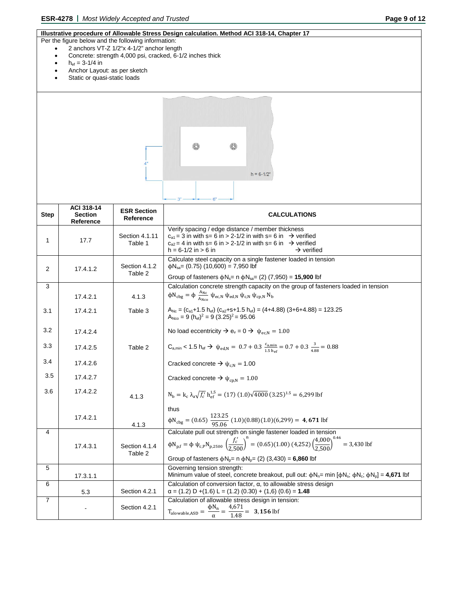### **Illustrative procedure of Allowable Stress Design calculation. Method ACI 318-14, Chapter 17**

- Per the figure below and the following information:
	- 2 anchors VT-Z 1/2"x 4-1/2" anchor length
	- Concrete: strength 4,000 psi, cracked, 6-1/2 inches thick
	- $h_{ef} = 3 1/4$  in
	- Anchor Layout: as per sketch
	- Static or quasi-static loads

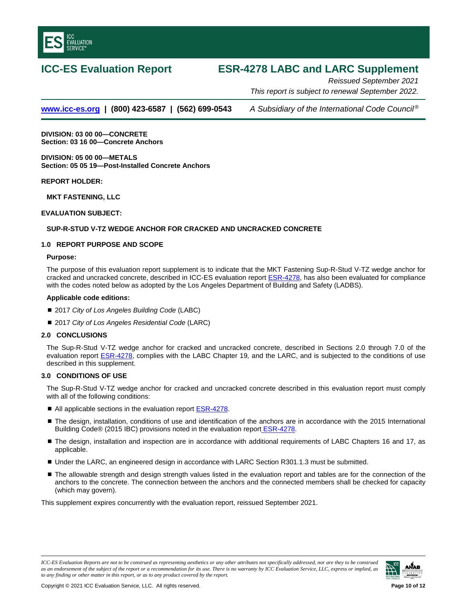<span id="page-9-0"></span>

## **ICC-ES Evaluation Report ESR-4278 LABC and LARC Supplement**

*Reissued September 2021 This report is subject to renewal September 2022.*

**[www.icc-es.org](http://www.icc-es.org/) | (800) 423-6587 | (562) 699-0543** *A Subsidiary of the International Code Council ®*

**DIVISION: 03 00 00—CONCRETE Section: 03 16 00—Concrete Anchors**

**DIVISION: 05 00 00—METALS Section: 05 05 19—Post-Installed Concrete Anchors**

**REPORT HOLDER:**

**MKT FASTENING, LLC**

**EVALUATION SUBJECT:**

### **SUP-R-STUD V-TZ WEDGE ANCHOR FOR CRACKED AND UNCRACKED CONCRETE**

### **1.0 REPORT PURPOSE AND SCOPE**

### **Purpose:**

The purpose of this evaluation report supplement is to indicate that the MKT Fastening Sup-R-Stud V-TZ wedge anchor for cracked and uncracked concrete, described in ICC-ES evaluation report [ESR-4278,](#page-0-0) has also been evaluated for compliance with the codes noted below as adopted by the Los Angeles Department of Building and Safety (LADBS).

### **Applicable code edition***s***:**

- 2017 *City of Los Angeles Building Code* (LABC)
- 2017 *City of Los Angeles Residential Code* (LARC)

### **2.0 CONCLUSIONS**

The Sup-R-Stud V-TZ wedge anchor for cracked and uncracked concrete, described in Sections 2.0 through 7.0 of the evaluation report [ESR-4278,](#page-0-0) complies with the LABC Chapter 19*,* and the LARC, and is subjected to the conditions of use described in this supplement.

### **3.0 CONDITIONS OF USE**

The Sup-R-Stud V-TZ wedge anchor for cracked and uncracked concrete described in this evaluation report must comply with all of the following conditions:

- All applicable sections in the evaluation report **ESR-4278**.
- The design, installation, conditions of use and identification of the anchors are in accordance with the 2015 International Building Code® (2015 IBC) provisions noted in the evaluation report **ESR-4278**.
- The design, installation and inspection are in accordance with additional requirements of LABC Chapters 16 and 17, as applicable.
- Under the LARC, an engineered design in accordance with LARC Section R301.1.3 must be submitted.
- The allowable strength and design strength values listed in the evaluation report and tables are for the connection of the anchors to the concrete. The connection between the anchors and the connected members shall be checked for capacity (which may govern).

This supplement expires concurrently with the evaluation report, reissued September 2021.

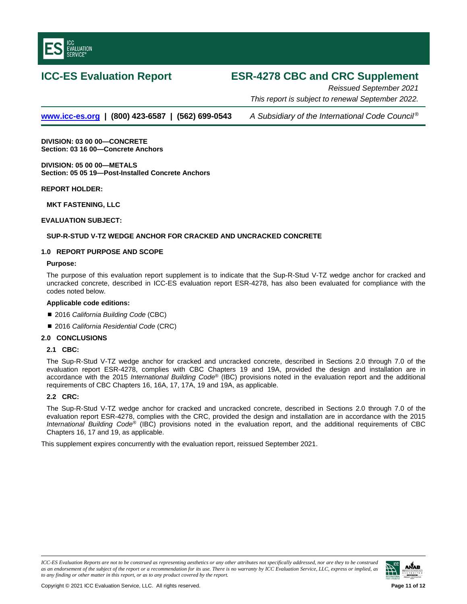

## **ICC-ES Evaluation Report ESR-4278 CBC and CRC Supplement**

*Reissued September 2021 This report is subject to renewal September 2022.*

**[www.icc-es.org](http://www.icc-es.org/) | (800) 423-6587 | (562) 699-0543** *A Subsidiary of the International Code Council ®*

**DIVISION: 03 00 00—CONCRETE Section: 03 16 00—Concrete Anchors**

**DIVISION: 05 00 00—METALS Section: 05 05 19—Post-Installed Concrete Anchors**

**REPORT HOLDER:**

**MKT FASTENING, LLC**

### **EVALUATION SUBJECT:**

### **SUP-R-STUD V-TZ WEDGE ANCHOR FOR CRACKED AND UNCRACKED CONCRETE**

### **1.0 REPORT PURPOSE AND SCOPE**

### **Purpose:**

The purpose of this evaluation report supplement is to indicate that the Sup-R-Stud V-TZ wedge anchor for cracked and uncracked concrete, described in ICC-ES evaluation report ESR-4278, has also been evaluated for compliance with the codes noted below.

### **Applicable code editions:**

- 2016 *California Building Code* (CBC)
- 2016 *California Residential Code* (CRC)

### **2.0 CONCLUSIONS**

### **2.1 CBC:**

The Sup-R-Stud V-TZ wedge anchor for cracked and uncracked concrete, described in Sections 2.0 through 7.0 of the evaluation report ESR-4278, complies with CBC Chapters 19 and 19A, provided the design and installation are in accordance with the 2015 *International Building Code*® (IBC) provisions noted in the evaluation report and the additional requirements of CBC Chapters 16, 16A, 17, 17A, 19 and 19A, as applicable.

### **2.2 CRC:**

The Sup-R-Stud V-TZ wedge anchor for cracked and uncracked concrete, described in Sections 2.0 through 7.0 of the evaluation report ESR-4278, complies with the CRC, provided the design and installation are in accordance with the 2015 *International Building Code*® (IBC) provisions noted in the evaluation report, and the additional requirements of CBC Chapters 16, 17 and 19, as applicable.

This supplement expires concurrently with the evaluation report, reissued September 2021.

*ICC-ES Evaluation Reports are not to be construed as representing aesthetics or any other attributes not specifically addressed, nor are they to be construed as an endorsement of the subject of the report or a recommendation for its use. There is no warranty by ICC Evaluation Service, LLC, express or implied, as to any finding or other matter in this report, or as to any product covered by the report.*